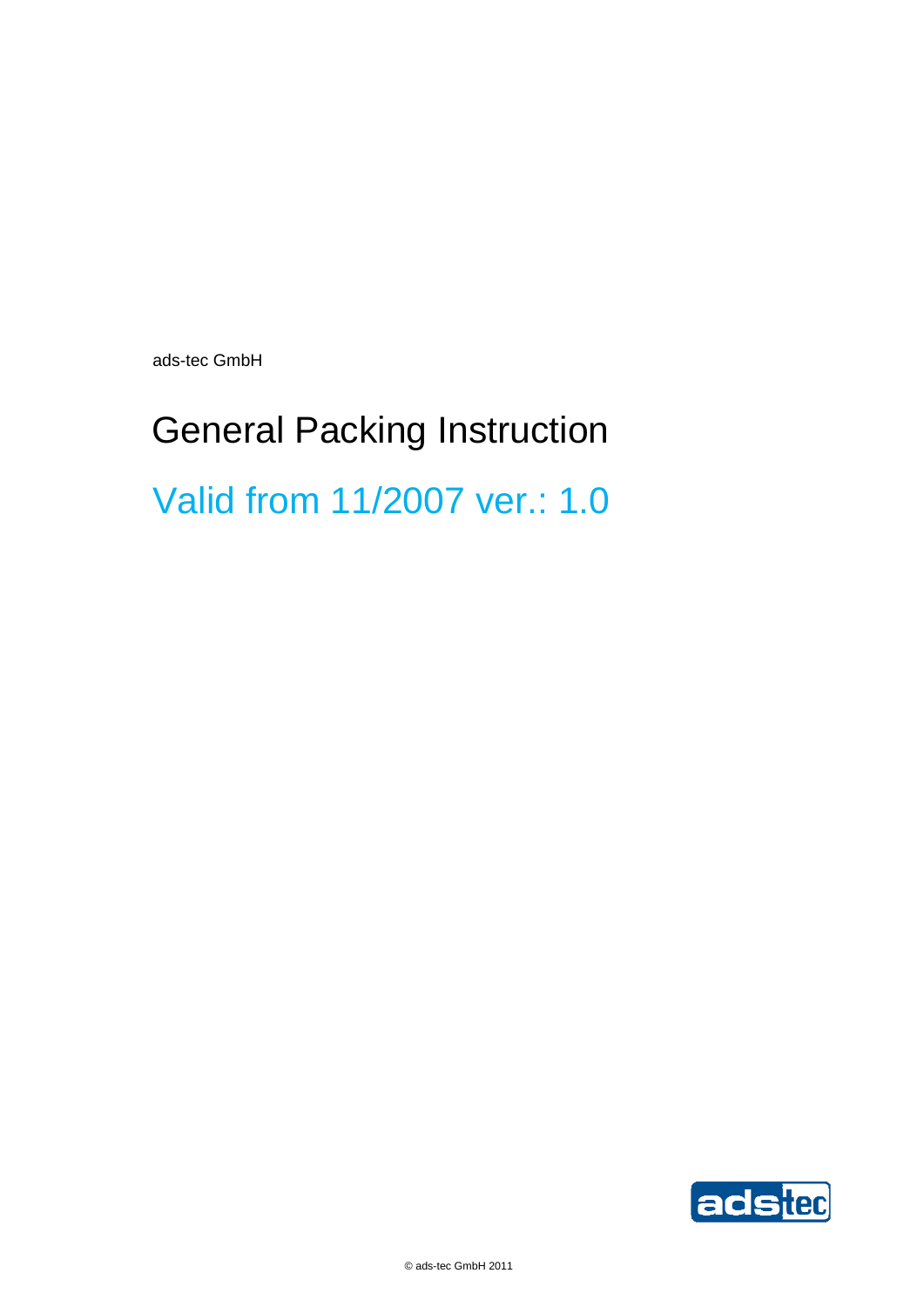ads-tec GmbH

# General Packing Instruction Valid from 11/2007 ver.: 1.0

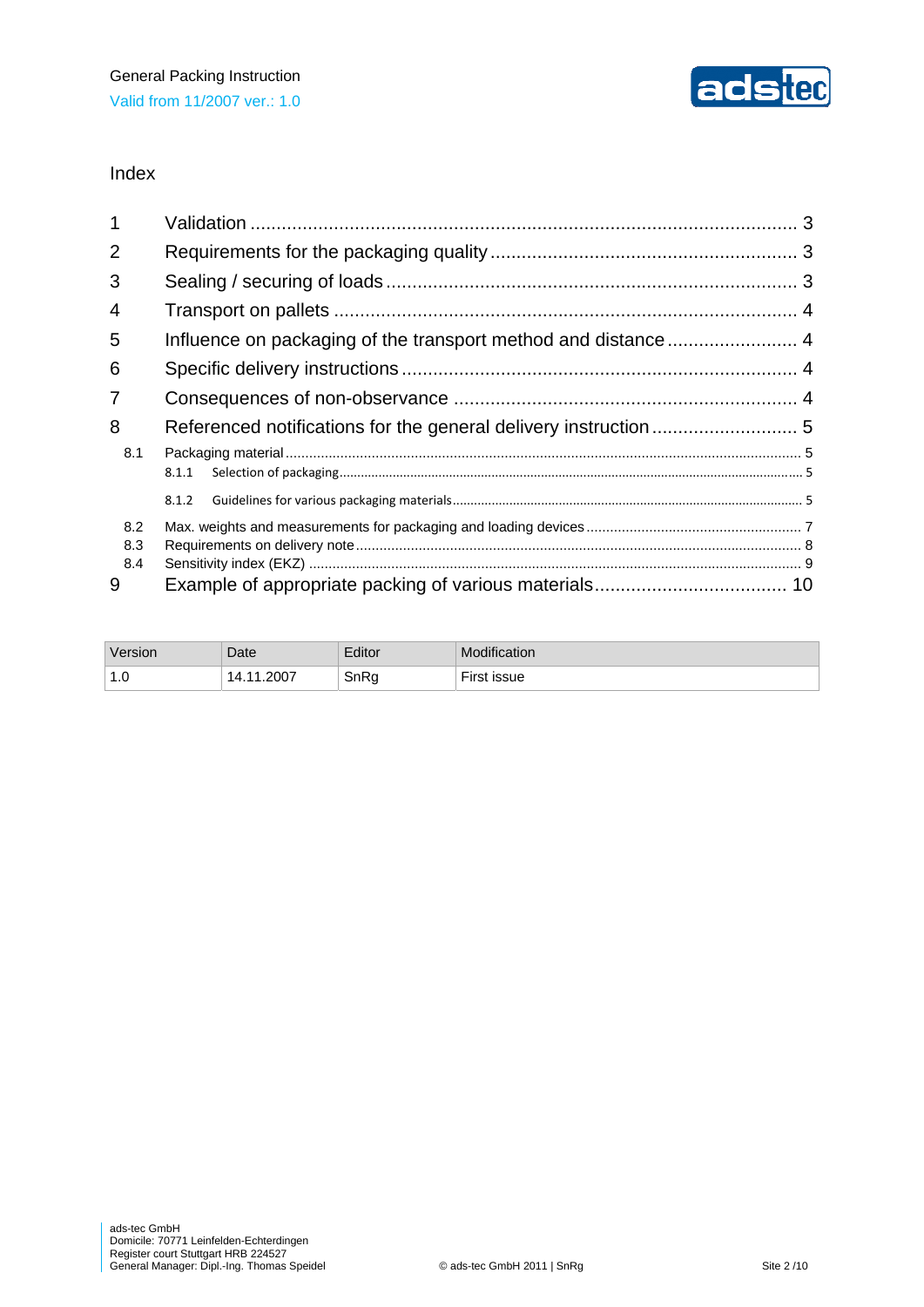

#### Index

| 1              |       |  |  |  |
|----------------|-------|--|--|--|
| $\overline{2}$ |       |  |  |  |
| 3              |       |  |  |  |
| 4              |       |  |  |  |
| 5              |       |  |  |  |
| 6              |       |  |  |  |
| 7              |       |  |  |  |
| 8              |       |  |  |  |
| 8.1            |       |  |  |  |
|                | 8.1.1 |  |  |  |
|                | 8.1.2 |  |  |  |
| 8.2            |       |  |  |  |
| 8.3            |       |  |  |  |
| 8.4            |       |  |  |  |
| 9              |       |  |  |  |

| Version | Date  | Editor | Modification |
|---------|-------|--------|--------------|
| 1.0     | .2007 | SnRq   | <b>issue</b> |
|         | 1л    | ×.     |              |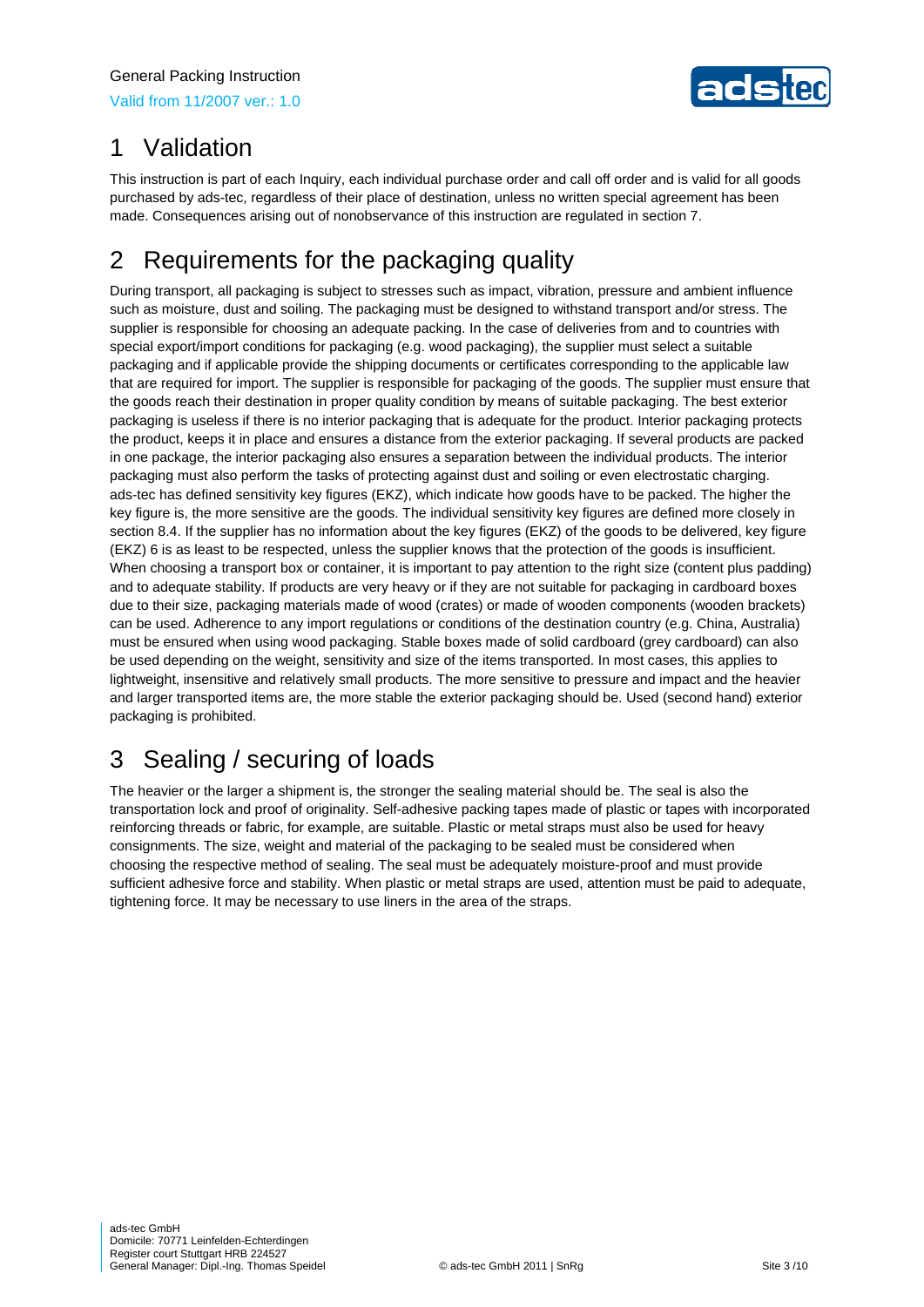

# 1 Validation

This instruction is part of each Inquiry, each individual purchase order and call off order and is valid for all goods purchased by ads-tec, regardless of their place of destination, unless no written special agreement has been made. Consequences arising out of nonobservance of this instruction are regulated in section 7.

# 2 Requirements for the packaging quality

During transport, all packaging is subject to stresses such as impact, vibration, pressure and ambient influence such as moisture, dust and soiling. The packaging must be designed to withstand transport and/or stress. The supplier is responsible for choosing an adequate packing. In the case of deliveries from and to countries with special export/import conditions for packaging (e.g. wood packaging), the supplier must select a suitable packaging and if applicable provide the shipping documents or certificates corresponding to the applicable law that are required for import. The supplier is responsible for packaging of the goods. The supplier must ensure that the goods reach their destination in proper quality condition by means of suitable packaging. The best exterior packaging is useless if there is no interior packaging that is adequate for the product. Interior packaging protects the product, keeps it in place and ensures a distance from the exterior packaging. If several products are packed in one package, the interior packaging also ensures a separation between the individual products. The interior packaging must also perform the tasks of protecting against dust and soiling or even electrostatic charging. ads-tec has defined sensitivity key figures (EKZ), which indicate how goods have to be packed. The higher the key figure is, the more sensitive are the goods. The individual sensitivity key figures are defined more closely in section 8.4. If the supplier has no information about the key figures (EKZ) of the goods to be delivered, key figure (EKZ) 6 is as least to be respected, unless the supplier knows that the protection of the goods is insufficient. When choosing a transport box or container, it is important to pay attention to the right size (content plus padding) and to adequate stability. If products are very heavy or if they are not suitable for packaging in cardboard boxes due to their size, packaging materials made of wood (crates) or made of wooden components (wooden brackets) can be used. Adherence to any import regulations or conditions of the destination country (e.g. China, Australia) must be ensured when using wood packaging. Stable boxes made of solid cardboard (grey cardboard) can also be used depending on the weight, sensitivity and size of the items transported. In most cases, this applies to lightweight, insensitive and relatively small products. The more sensitive to pressure and impact and the heavier and larger transported items are, the more stable the exterior packaging should be. Used (second hand) exterior packaging is prohibited.

# 3 Sealing / securing of loads

The heavier or the larger a shipment is, the stronger the sealing material should be. The seal is also the transportation lock and proof of originality. Self-adhesive packing tapes made of plastic or tapes with incorporated reinforcing threads or fabric, for example, are suitable. Plastic or metal straps must also be used for heavy consignments. The size, weight and material of the packaging to be sealed must be considered when choosing the respective method of sealing. The seal must be adequately moisture-proof and must provide sufficient adhesive force and stability. When plastic or metal straps are used, attention must be paid to adequate, tightening force. It may be necessary to use liners in the area of the straps.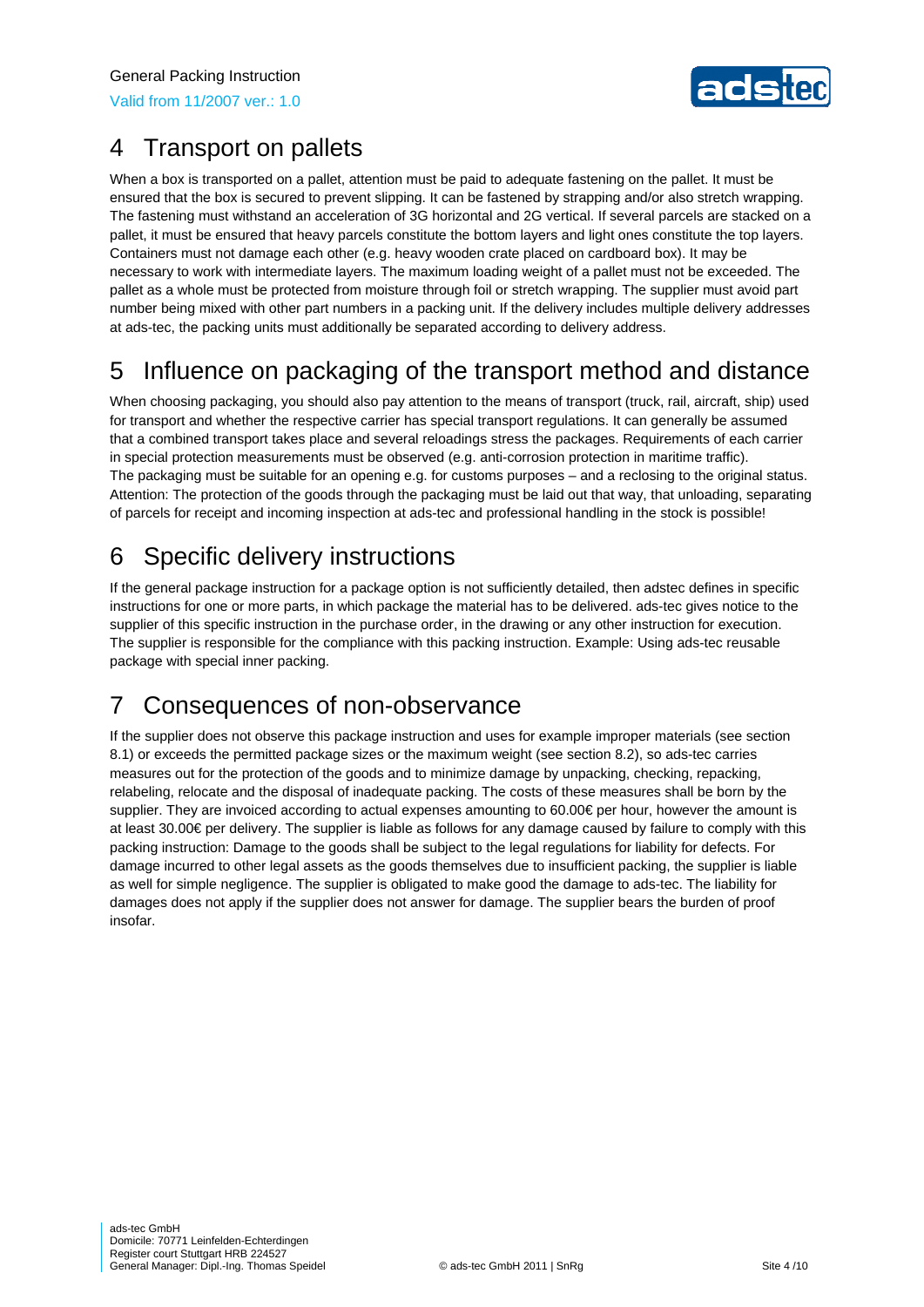Valid from 11/2007 ver.: 1.0



### 4 Transport on pallets

When a box is transported on a pallet, attention must be paid to adequate fastening on the pallet. It must be ensured that the box is secured to prevent slipping. It can be fastened by strapping and/or also stretch wrapping. The fastening must withstand an acceleration of 3G horizontal and 2G vertical. If several parcels are stacked on a pallet, it must be ensured that heavy parcels constitute the bottom layers and light ones constitute the top layers. Containers must not damage each other (e.g. heavy wooden crate placed on cardboard box). It may be necessary to work with intermediate layers. The maximum loading weight of a pallet must not be exceeded. The pallet as a whole must be protected from moisture through foil or stretch wrapping. The supplier must avoid part number being mixed with other part numbers in a packing unit. If the delivery includes multiple delivery addresses at ads-tec, the packing units must additionally be separated according to delivery address.

# 5 Influence on packaging of the transport method and distance

When choosing packaging, you should also pay attention to the means of transport (truck, rail, aircraft, ship) used for transport and whether the respective carrier has special transport regulations. It can generally be assumed that a combined transport takes place and several reloadings stress the packages. Requirements of each carrier in special protection measurements must be observed (e.g. anti-corrosion protection in maritime traffic). The packaging must be suitable for an opening e.g. for customs purposes – and a reclosing to the original status. Attention: The protection of the goods through the packaging must be laid out that way, that unloading, separating of parcels for receipt and incoming inspection at ads-tec and professional handling in the stock is possible!

# 6 Specific delivery instructions

If the general package instruction for a package option is not sufficiently detailed, then adstec defines in specific instructions for one or more parts, in which package the material has to be delivered. ads-tec gives notice to the supplier of this specific instruction in the purchase order, in the drawing or any other instruction for execution. The supplier is responsible for the compliance with this packing instruction. Example: Using ads-tec reusable package with special inner packing.

# 7 Consequences of non-observance

If the supplier does not observe this package instruction and uses for example improper materials (see section 8.1) or exceeds the permitted package sizes or the maximum weight (see section 8.2), so ads-tec carries measures out for the protection of the goods and to minimize damage by unpacking, checking, repacking, relabeling, relocate and the disposal of inadequate packing. The costs of these measures shall be born by the supplier. They are invoiced according to actual expenses amounting to 60.00€ per hour, however the amount is at least 30.00€ per delivery. The supplier is liable as follows for any damage caused by failure to comply with this packing instruction: Damage to the goods shall be subject to the legal regulations for liability for defects. For damage incurred to other legal assets as the goods themselves due to insufficient packing, the supplier is liable as well for simple negligence. The supplier is obligated to make good the damage to ads-tec. The liability for damages does not apply if the supplier does not answer for damage. The supplier bears the burden of proof insofar.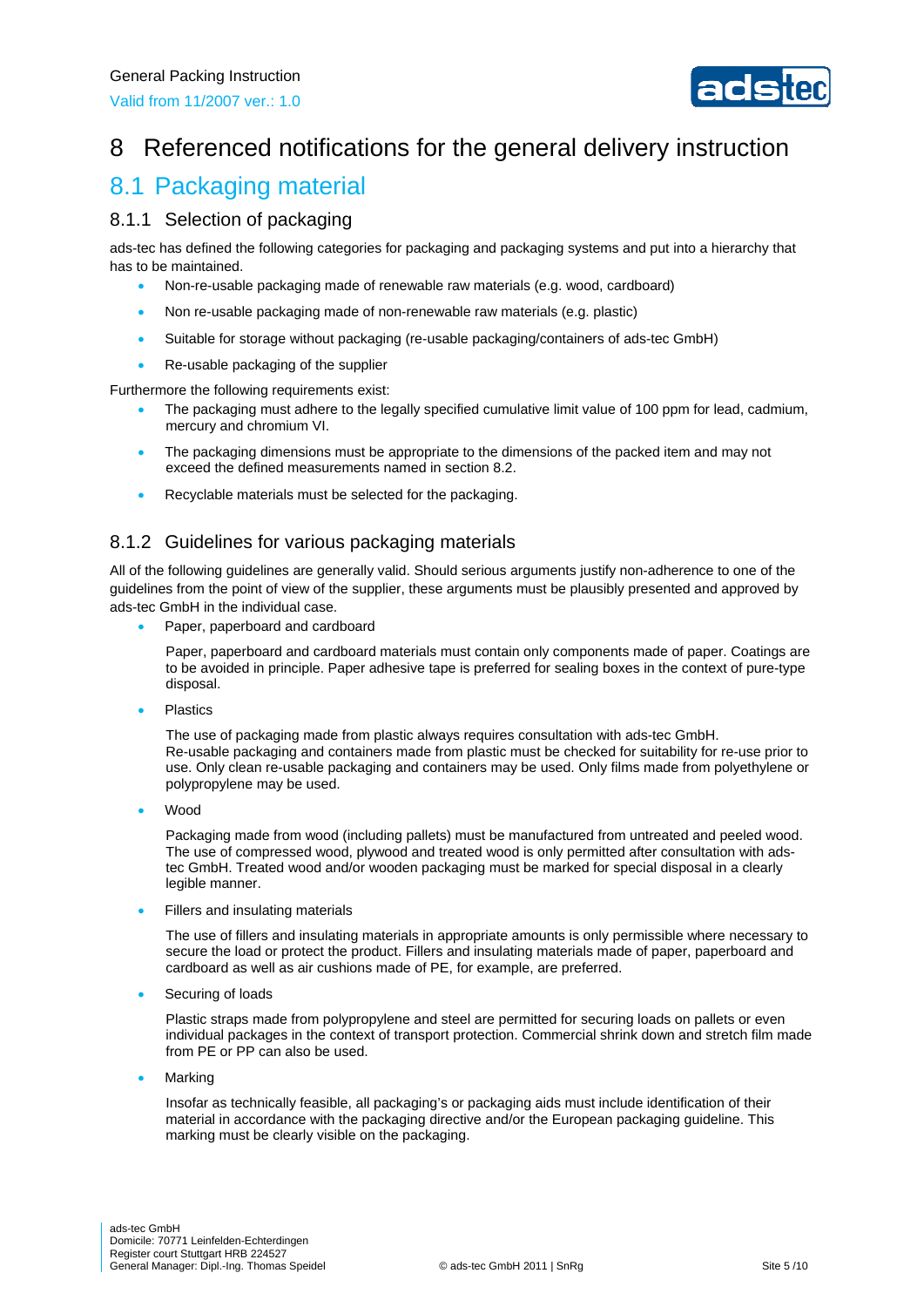

# 8 Referenced notifications for the general delivery instruction

### 8.1 Packaging material

#### 8.1.1 Selection of packaging

ads-tec has defined the following categories for packaging and packaging systems and put into a hierarchy that has to be maintained.

- Non-re-usable packaging made of renewable raw materials (e.g. wood, cardboard)
- Non re-usable packaging made of non-renewable raw materials (e.g. plastic)
- Suitable for storage without packaging (re-usable packaging/containers of ads-tec GmbH)
- Re-usable packaging of the supplier

Furthermore the following requirements exist:

- The packaging must adhere to the legally specified cumulative limit value of 100 ppm for lead, cadmium, mercury and chromium VI.
- The packaging dimensions must be appropriate to the dimensions of the packed item and may not exceed the defined measurements named in section 8.2.
- Recyclable materials must be selected for the packaging.

#### 8.1.2 Guidelines for various packaging materials

All of the following guidelines are generally valid. Should serious arguments justify non-adherence to one of the guidelines from the point of view of the supplier, these arguments must be plausibly presented and approved by ads-tec GmbH in the individual case.

Paper, paperboard and cardboard

Paper, paperboard and cardboard materials must contain only components made of paper. Coatings are to be avoided in principle. Paper adhesive tape is preferred for sealing boxes in the context of pure-type disposal.

Plastics

The use of packaging made from plastic always requires consultation with ads-tec GmbH. Re-usable packaging and containers made from plastic must be checked for suitability for re-use prior to use. Only clean re-usable packaging and containers may be used. Only films made from polyethylene or polypropylene may be used.

Wood

Packaging made from wood (including pallets) must be manufactured from untreated and peeled wood. The use of compressed wood, plywood and treated wood is only permitted after consultation with adstec GmbH. Treated wood and/or wooden packaging must be marked for special disposal in a clearly legible manner.

Fillers and insulating materials

The use of fillers and insulating materials in appropriate amounts is only permissible where necessary to secure the load or protect the product. Fillers and insulating materials made of paper, paperboard and cardboard as well as air cushions made of PE, for example, are preferred.

Securing of loads

Plastic straps made from polypropylene and steel are permitted for securing loads on pallets or even individual packages in the context of transport protection. Commercial shrink down and stretch film made from PE or PP can also be used.

Marking

Insofar as technically feasible, all packaging's or packaging aids must include identification of their material in accordance with the packaging directive and/or the European packaging guideline. This marking must be clearly visible on the packaging.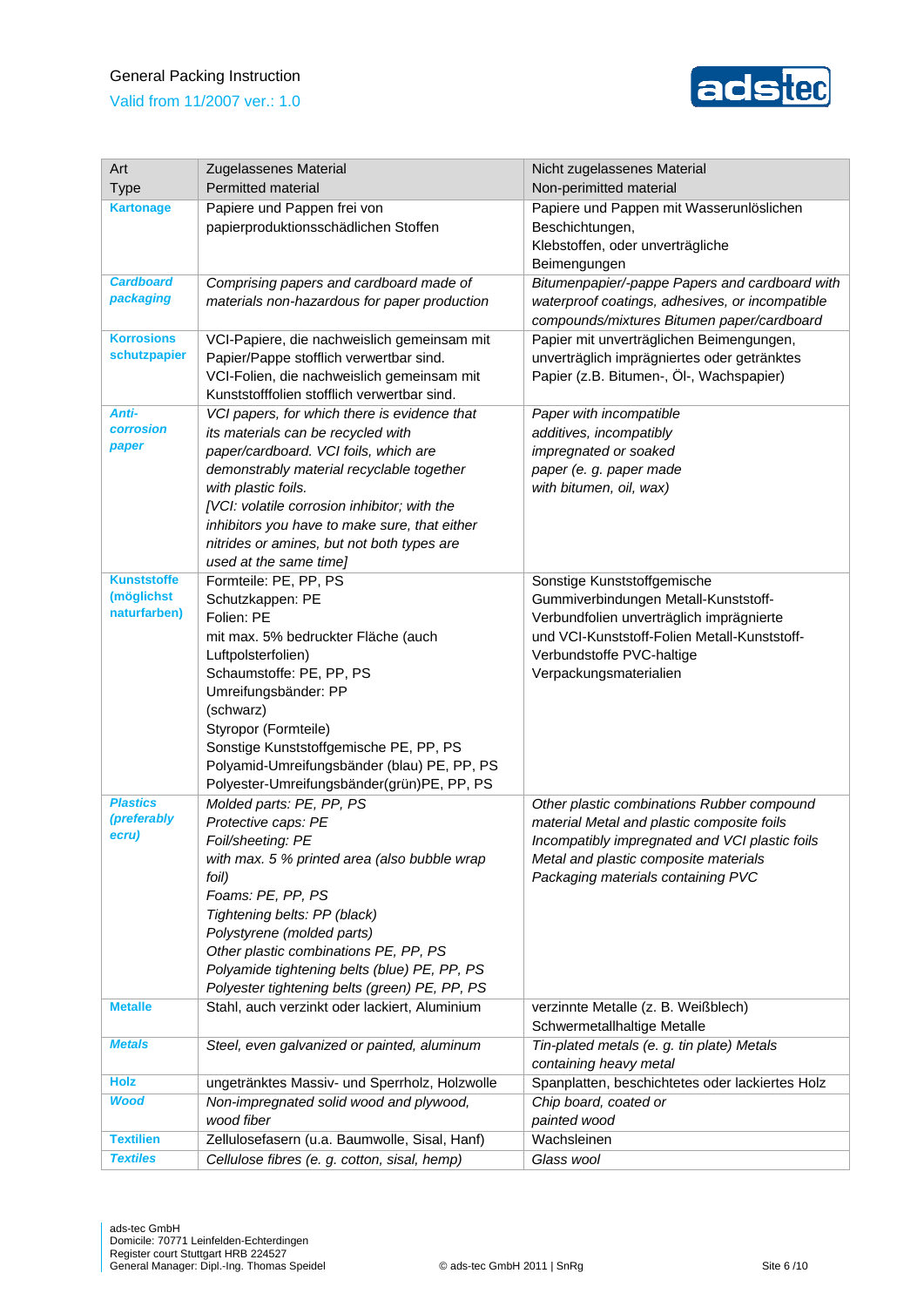#### General Packing Instruction

Valid from 11/2007 ver.: 1.0



| Art                            | Zugelassenes Material                                                                         | Nicht zugelassenes Material                                                 |  |
|--------------------------------|-----------------------------------------------------------------------------------------------|-----------------------------------------------------------------------------|--|
| <b>Type</b>                    | <b>Permitted material</b>                                                                     | Non-perimitted material                                                     |  |
| <b>Kartonage</b>               | Papiere und Pappen frei von                                                                   | Papiere und Pappen mit Wasserunlöslichen                                    |  |
|                                | papierproduktionsschädlichen Stoffen                                                          | Beschichtungen,                                                             |  |
|                                |                                                                                               | Klebstoffen, oder unverträgliche                                            |  |
|                                |                                                                                               | Beimengungen                                                                |  |
| <b>Cardboard</b>               | Comprising papers and cardboard made of                                                       | Bitumenpapier/-pappe Papers and cardboard with                              |  |
| packaging                      | materials non-hazardous for paper production                                                  | waterproof coatings, adhesives, or incompatible                             |  |
|                                |                                                                                               | compounds/mixtures Bitumen paper/cardboard                                  |  |
| <b>Korrosions</b>              | VCI-Papiere, die nachweislich gemeinsam mit                                                   | Papier mit unverträglichen Beimengungen,                                    |  |
| schutzpapier                   | Papier/Pappe stofflich verwertbar sind.                                                       | unverträglich imprägniertes oder getränktes                                 |  |
|                                | VCI-Folien, die nachweislich gemeinsam mit                                                    | Papier (z.B. Bitumen-, Öl-, Wachspapier)                                    |  |
|                                | Kunststofffolien stofflich verwertbar sind.                                                   |                                                                             |  |
| Anti-                          | VCI papers, for which there is evidence that                                                  | Paper with incompatible                                                     |  |
| <b>corrosion</b><br>paper      | its materials can be recycled with                                                            | additives, incompatibly                                                     |  |
|                                | paper/cardboard. VCI foils, which are                                                         | impregnated or soaked                                                       |  |
|                                | demonstrably material recyclable together                                                     | paper (e. g. paper made                                                     |  |
|                                | with plastic foils.                                                                           | with bitumen, oil, wax)                                                     |  |
|                                | [VCI: volatile corrosion inhibitor; with the<br>inhibitors you have to make sure, that either |                                                                             |  |
|                                | nitrides or amines, but not both types are                                                    |                                                                             |  |
|                                | used at the same time]                                                                        |                                                                             |  |
| <b>Kunststoffe</b>             | Formteile: PE, PP, PS                                                                         | Sonstige Kunststoffgemische                                                 |  |
| (möglichst                     | Schutzkappen: PE                                                                              | Gummiverbindungen Metall-Kunststoff-                                        |  |
| naturfarben)                   | Folien: PE                                                                                    | Verbundfolien unverträglich imprägnierte                                    |  |
|                                | mit max. 5% bedruckter Fläche (auch                                                           | und VCI-Kunststoff-Folien Metall-Kunststoff-                                |  |
|                                | Luftpolsterfolien)                                                                            | Verbundstoffe PVC-haltige                                                   |  |
|                                | Schaumstoffe: PE, PP, PS                                                                      | Verpackungsmaterialien                                                      |  |
|                                | Umreifungsbänder: PP                                                                          |                                                                             |  |
|                                | (schwarz)                                                                                     |                                                                             |  |
|                                | Styropor (Formteile)                                                                          |                                                                             |  |
|                                | Sonstige Kunststoffgemische PE, PP, PS                                                        |                                                                             |  |
|                                | Polyamid-Umreifungsbänder (blau) PE, PP, PS                                                   |                                                                             |  |
|                                | Polyester-Umreifungsbänder(grün)PE, PP, PS                                                    |                                                                             |  |
| <b>Plastics</b><br>(preferably | Molded parts: PE, PP, PS                                                                      | Other plastic combinations Rubber compound                                  |  |
| ecru)                          | Protective caps: PE                                                                           | material Metal and plastic composite foils                                  |  |
|                                | Foil/sheeting: PE<br>with max. 5 % printed area (also bubble wrap                             | Incompatibly impregnated and VCI plastic foils                              |  |
|                                | foil)                                                                                         | Metal and plastic composite materials<br>Packaging materials containing PVC |  |
|                                | Foams: PE, PP, PS                                                                             |                                                                             |  |
|                                | Tightening belts: PP (black)                                                                  |                                                                             |  |
|                                | Polystyrene (molded parts)                                                                    |                                                                             |  |
|                                | Other plastic combinations PE, PP, PS                                                         |                                                                             |  |
|                                | Polyamide tightening belts (blue) PE, PP, PS                                                  |                                                                             |  |
|                                | Polyester tightening belts (green) PE, PP, PS                                                 |                                                                             |  |
| <b>Metalle</b>                 | Stahl, auch verzinkt oder lackiert, Aluminium                                                 | verzinnte Metalle (z. B. Weißblech)                                         |  |
|                                |                                                                                               | Schwermetallhaltige Metalle                                                 |  |
| <b>Metals</b>                  | Steel, even galvanized or painted, aluminum                                                   | Tin-plated metals (e. g. tin plate) Metals                                  |  |
|                                |                                                                                               | containing heavy metal                                                      |  |
| <b>Holz</b>                    | ungetränktes Massiv- und Sperrholz, Holzwolle                                                 | Spanplatten, beschichtetes oder lackiertes Holz                             |  |
| <b>Wood</b>                    | Non-impregnated solid wood and plywood,                                                       | Chip board, coated or                                                       |  |
|                                | wood fiber                                                                                    | painted wood                                                                |  |
| <b>Textilien</b>               | Zellulosefasern (u.a. Baumwolle, Sisal, Hanf)                                                 | Wachsleinen                                                                 |  |
| <b>Textiles</b>                | Cellulose fibres (e. g. cotton, sisal, hemp)                                                  | Glass wool                                                                  |  |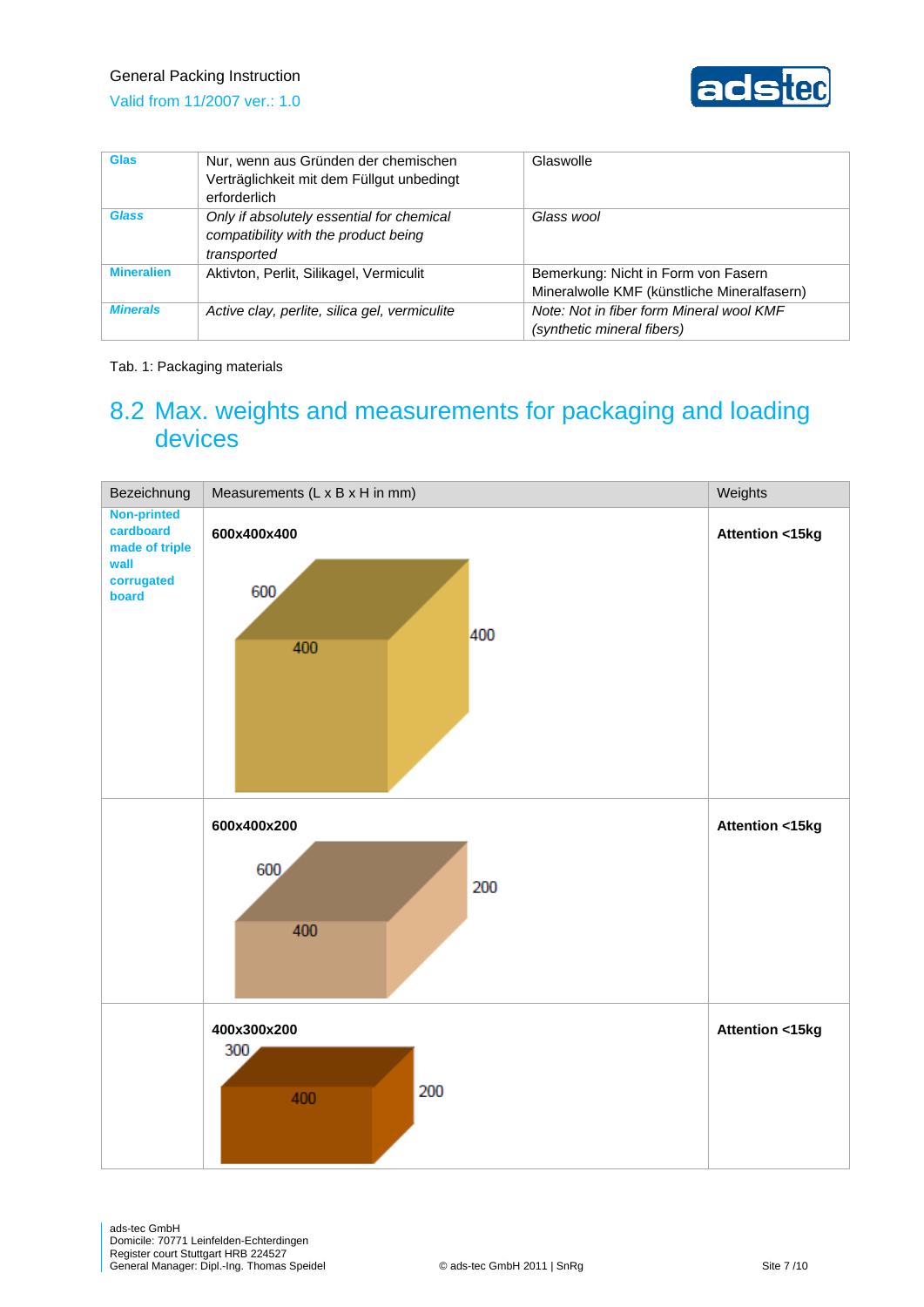#### General Packing Instruction





| <b>Glas</b>       | Nur, wenn aus Gründen der chemischen<br>Verträglichkeit mit dem Füllgut unbedingt<br>erforderlich | Glaswolle                                                                          |
|-------------------|---------------------------------------------------------------------------------------------------|------------------------------------------------------------------------------------|
| <b>Glass</b>      | Only if absolutely essential for chemical<br>compatibility with the product being<br>transported  | Glass wool                                                                         |
| <b>Mineralien</b> | Aktivton, Perlit, Silikagel, Vermiculit                                                           | Bemerkung: Nicht in Form von Fasern<br>Mineralwolle KMF (künstliche Mineralfasern) |
| <b>Minerals</b>   | Active clay, perlite, silica gel, vermiculite                                                     | Note: Not in fiber form Mineral wool KMF<br>(synthetic mineral fibers)             |

#### Tab. 1: Packaging materials

### 8.2 Max. weights and measurements for packaging and loading devices

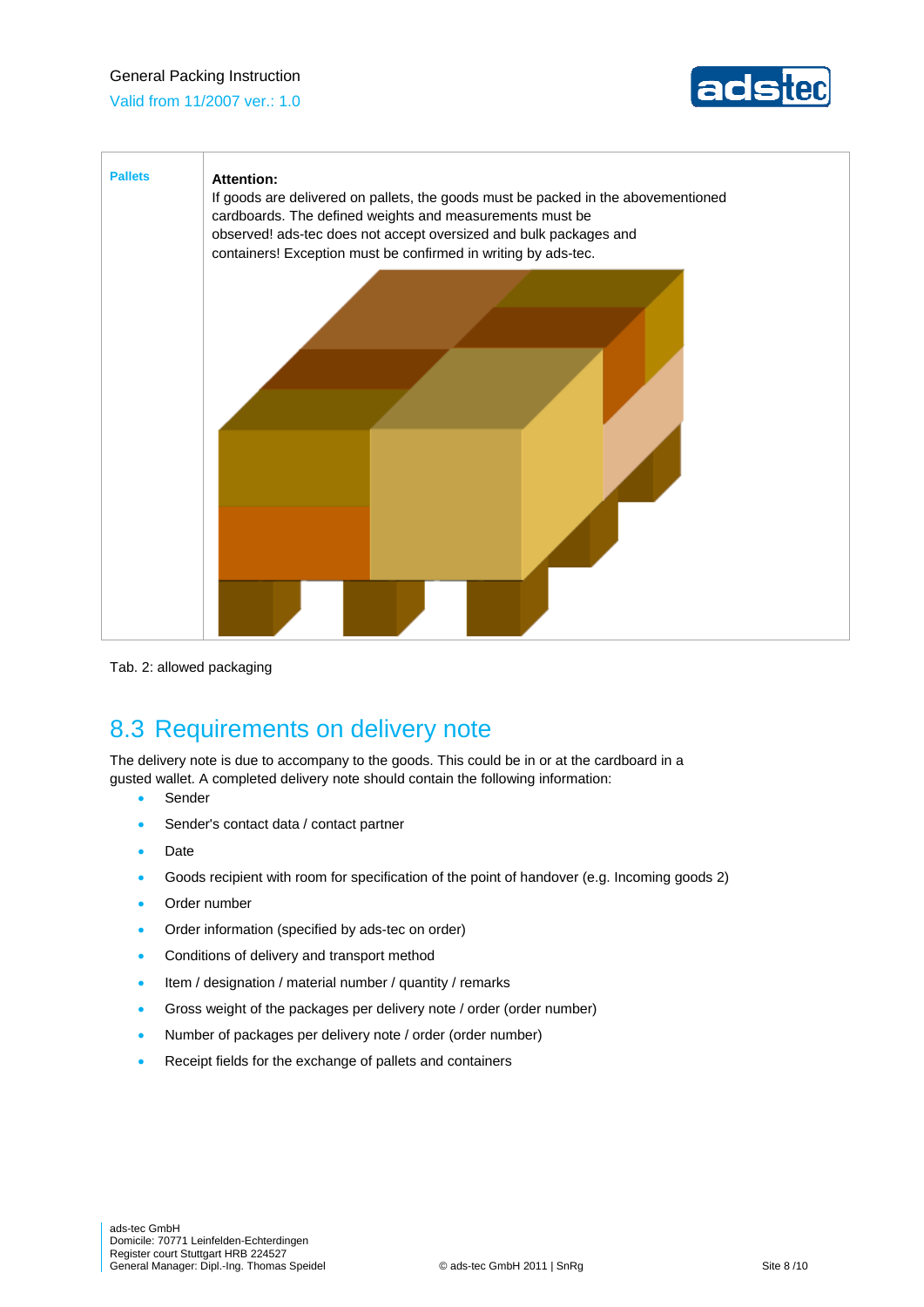#### General Packing Instruction

Valid from 11/2007 ver.: 1.0





Tab. 2: allowed packaging

# 8.3 Requirements on delivery note

The delivery note is due to accompany to the goods. This could be in or at the cardboard in a gusted wallet. A completed delivery note should contain the following information:

- Sender
- Sender's contact data / contact partner
- Date
- Goods recipient with room for specification of the point of handover (e.g. Incoming goods 2)
- Order number
- Order information (specified by ads-tec on order)
- **•** Conditions of delivery and transport method
- Item / designation / material number / quantity / remarks
- Gross weight of the packages per delivery note / order (order number)
- Number of packages per delivery note / order (order number)
- Receipt fields for the exchange of pallets and containers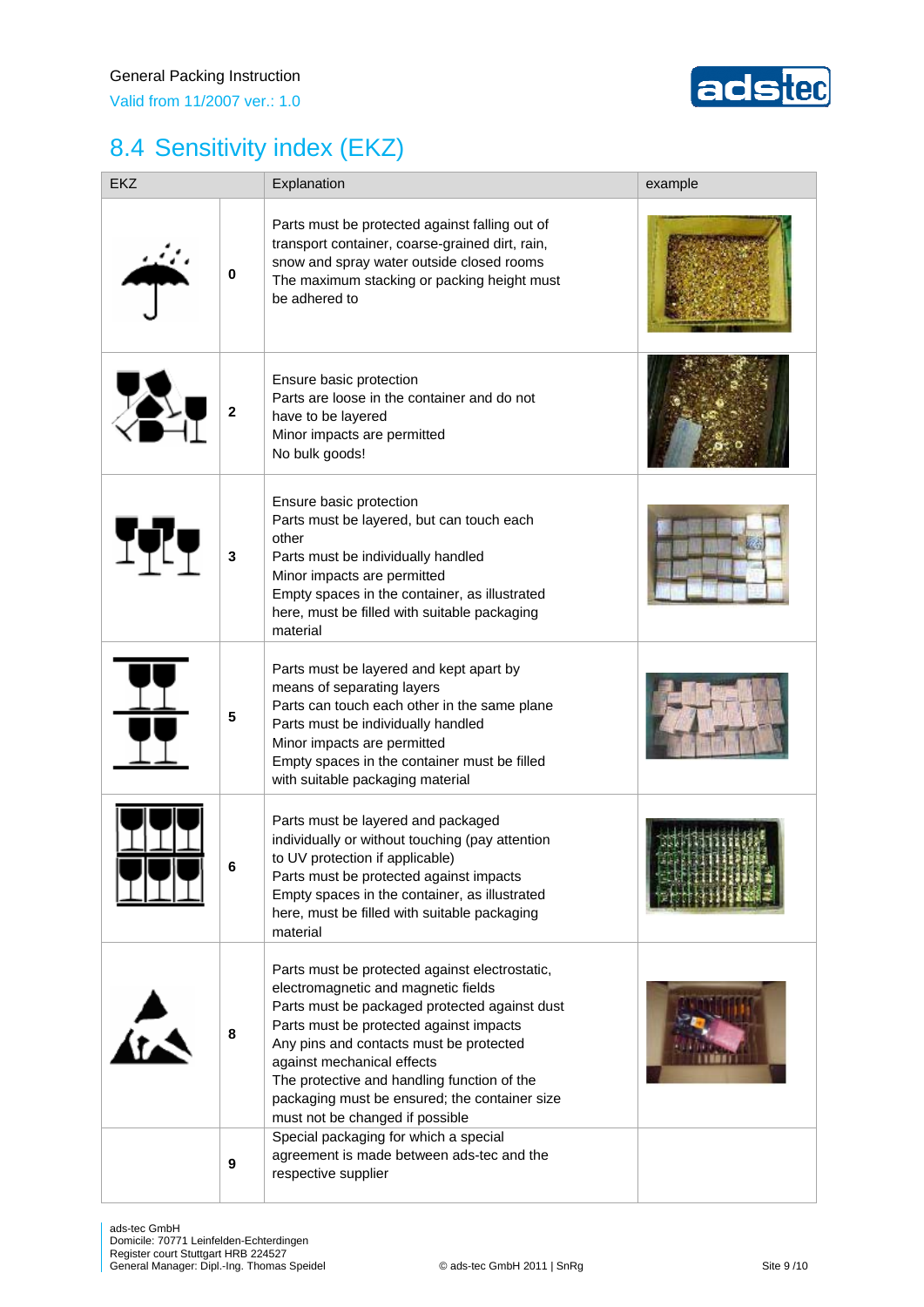

# 8.4 Sensitivity index (EKZ)

| <b>EKZ</b> |              | Explanation                                                                                                                                                                                                                                                                                                                                                                                   | example |
|------------|--------------|-----------------------------------------------------------------------------------------------------------------------------------------------------------------------------------------------------------------------------------------------------------------------------------------------------------------------------------------------------------------------------------------------|---------|
|            | $\pmb{0}$    | Parts must be protected against falling out of<br>transport container, coarse-grained dirt, rain,<br>snow and spray water outside closed rooms<br>The maximum stacking or packing height must<br>be adhered to                                                                                                                                                                                |         |
|            | $\mathbf{2}$ | Ensure basic protection<br>Parts are loose in the container and do not<br>have to be layered<br>Minor impacts are permitted<br>No bulk goods!                                                                                                                                                                                                                                                 |         |
| ITT        | 3            | Ensure basic protection<br>Parts must be layered, but can touch each<br>other<br>Parts must be individually handled<br>Minor impacts are permitted<br>Empty spaces in the container, as illustrated<br>here, must be filled with suitable packaging<br>material                                                                                                                               |         |
|            | 5            | Parts must be layered and kept apart by<br>means of separating layers<br>Parts can touch each other in the same plane<br>Parts must be individually handled<br>Minor impacts are permitted<br>Empty spaces in the container must be filled<br>with suitable packaging material                                                                                                                |         |
|            | 6            | Parts must be layered and packaged<br>individually or without touching (pay attention<br>to UV protection if applicable)<br>Parts must be protected against impacts<br>Empty spaces in the container, as illustrated<br>here, must be filled with suitable packaging<br>material                                                                                                              |         |
|            | 8            | Parts must be protected against electrostatic,<br>electromagnetic and magnetic fields<br>Parts must be packaged protected against dust<br>Parts must be protected against impacts<br>Any pins and contacts must be protected<br>against mechanical effects<br>The protective and handling function of the<br>packaging must be ensured; the container size<br>must not be changed if possible |         |
|            | 9            | Special packaging for which a special<br>agreement is made between ads-tec and the<br>respective supplier                                                                                                                                                                                                                                                                                     |         |